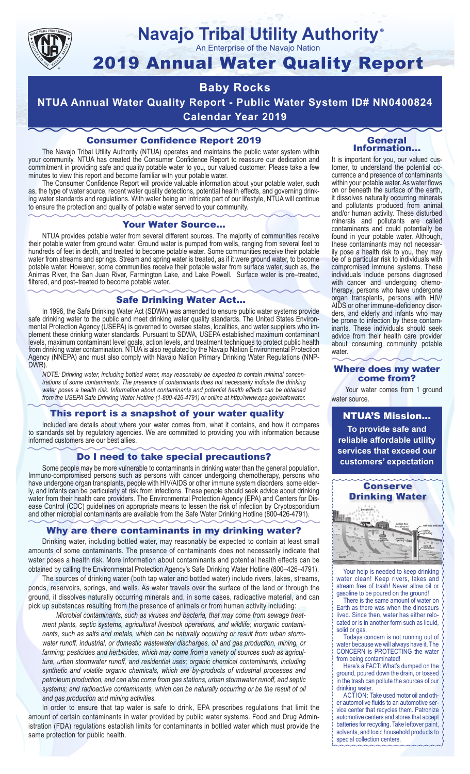

## **Navajo Tribal Utility Authority** ®

An Enterprise of the Navajo Nation

# 2019 Annual Water Quality Report

## **Baby Rocks**

**NTUA Annual Water Quality Report - Public Water System ID# NN0400824 Calendar Year 2019**

## Consumer Confidence Report 2019

The Navajo Tribal Utility Authority (NTUA) operates and maintains the public water system within your community. NTUA has created the Consumer Confidence Report to reassure our dedication and commitment in providing safe and quality potable water to you, our valued customer. Please take a few minutes to view this report and become familiar with your potable water.

The Consumer Confidence Report will provide valuable information about your potable water, such as, the type of water source, recent water quality detections, potential health effects, and governing drinking water standards and regulations. With water being an intricate part of our lifestyle, NTUA will continue to ensure the protection and quality of potable water served to your community.

#### Your Water Source…

NTUA provides potable water from several different sources. The majority of communities receive their potable water from ground water. Ground water is pumped from wells, ranging from several feet to hundreds of feet in depth, and treated to become potable water. Some communities receive their potable water from streams and springs. Stream and spring water is treated, as if it were ground water, to become potable water. However, some communities receive their potable water from surface water, such as, the Animas River, the San Juan River, Farmington Lake, and Lake Powell. Surface water is pre–treated, filtered, and post–treated to become potable water.

#### Safe Drinking Water Act…

In 1996, the Safe Drinking Water Act (SDWA) was amended to ensure public water systems provide safe drinking water to the public and meet drinking water quality standards. The United States Environmental Protection Agency (USEPA) is governed to oversee states, localities, and water suppliers who implement these drinking water standards. Pursuant to SDWA, USEPA established maximum contaminant levels, maximum contaminant level goals, action levels, and treatment techniques to protect public health from drinking water contamination. NTUA is also regulated by the Navajo Nation Environmental Protection Agency (NNEPA) and must also comply with Navajo Nation Primary Drinking Water Regulations (NNP-DWR)

*NOTE: Drinking water, including bottled water, may reasonably be expected to contain minimal concentrations of some contaminants. The presence of contaminants does not necessarily indicate the drinking water poses a health risk. Information about contaminants and potential health effects can be obtained from the USEPA Safe Drinking Water Hotline (1-800-426-4791) or online at http://www.epa.gov/safewater.*

#### This report is a snapshot of your water quality

Included are details about where your water comes from, what it contains, and how it compares to standards set by regulatory agencies. We are committed to providing you with information because informed customers are our best allies.

#### Do I need to take special precautions?

Some people may be more vulnerable to contaminants in drinking water than the general population. Immuno-compromised persons such as persons with cancer undergoing chemotherapy, persons who have undergone organ transplants, people with HIV/AIDS or other immune system disorders, some elderly, and infants can be particularly at risk from infections. These people should seek advice about drinking water from their health care providers. The Environmental Protection Agency (EPA) and Centers for Disease Control (CDC) guidelines on appropriate means to lessen the risk of infection by Cryptosporidium and other microbial contaminants are available from the Safe Water Drinking Hotline (800-426-4791).

#### Why are there contaminants in my drinking water?

Drinking water, including bottled water, may reasonably be expected to contain at least small amounts of some contaminants. The presence of contaminants does not necessarily indicate that water poses a health risk. More information about contaminants and potential health effects can be obtained by calling the Environmental Protection Agency's Safe Drinking Water Hotline (800–426–4791).

The sources of drinking water (both tap water and bottled water) include rivers, lakes, streams, ponds, reservoirs, springs, and wells. As water travels over the surface of the land or through the ground, it dissolves naturally occurring minerals and, in some cases, radioactive material, and can pick up substances resulting from the presence of animals or from human activity including:

*Microbial contaminants, such as viruses and bacteria, that may come from sewage treatment plants, septic systems, agricultural livestock operations, and wildlife; inorganic contaminants, such as salts and metals, which can be naturally occurring or result from urban stormwater runoff, industrial, or domestic wastewater discharges, oil and gas production, mining, or farming; pesticides and herbicides, which may come from a variety of sources such as agriculture, urban stormwater runoff, and residential uses; organic chemical contaminants, including synthetic and volatile organic chemicals, which are by-products of industrial processes and petroleum production, and can also come from gas stations, urban stormwater runoff, and septic systems; and radioactive contaminants, which can be naturally occurring or be the result of oil and gas production and mining activities.*

In order to ensure that tap water is safe to drink, EPA prescribes regulations that limit the amount of certain contaminants in water provided by public water systems. Food and Drug Administration (FDA) regulations establish limits for contaminants in bottled water which must provide the same protection for public health.

#### General Information…

It is important for you, our valued customer, to understand the potential occurrence and presence of contaminants within your potable water. As water flows on or beneath the surface of the earth, it dissolves naturally occurring minerals and pollutants produced from animal and/or human activity. These disturbed minerals and pollutants are called contaminants and could potentially be found in your potable water. Although, these contaminants may not necessarily pose a health risk to you, they may be of a particular risk to individuals with compromised immune systems. These individuals include persons diagnosed with cancer and undergoing chemo-<br>therapy, persons who have undergone organ transplants, persons with HIV/ AIDS or other immune–deficiency disor- ders, and elderly and infants who may be prone to infection by these contam- inants. These individuals should seek advice from their health care provider about consuming community potable water.

#### Where does my water come from?

Your water comes from 1 ground water source.

NTUA'S Mission... **To provide safe and reliable affordable utility services that exceed our customers' expectation**



Your help is needed to keep drinking water clean! Keep rivers, lakes and stream free of trash! Never allow oil or gasoline to be poured on the ground!

There is the same amount of water on Earth as there was when the dinosaurs lived. Since then, water has either relocated or is in another form such as liquid, solid or gas.

Todays concern is not running out of water because we will always have it. The CONCERN is PROTECTING the water from being contaminated!

Here's a FACT: What's dumped on the ground, poured down the drain, or tossed in the trash can pollute the sources of our drinking water.

ACTION: Take used motor oil and other automotive fluids to an automotive service center that recycles them. Patronize automotive centers and stores that accept batteries for recycling. Take leftover paint, solvents, and toxic household products to special collection centers.